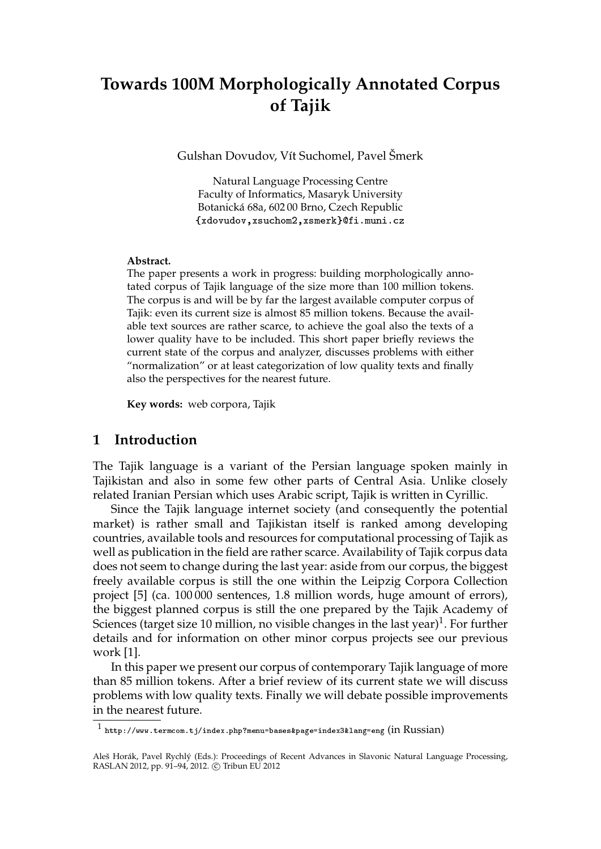# **Towards 100M Morphologically Annotated Corpus of Tajik**

Gulshan Dovudov, Vít Suchomel, Pavel Šmerk

Natural Language Processing Centre Faculty of Informatics, Masaryk University Botanická 68a, 602 00 Brno, Czech Republic {xdovudov,xsuchom2,xsmerk}@fi.muni.cz

#### **Abstract.**

The paper presents a work in progress: building morphologically annotated corpus of Tajik language of the size more than 100 million tokens. The corpus is and will be by far the largest available computer corpus of Tajik: even its current size is almost 85 million tokens. Because the available text sources are rather scarce, to achieve the goal also the texts of a lower quality have to be included. This short paper briefly reviews the current state of the corpus and analyzer, discusses problems with either "normalization" or at least categorization of low quality texts and finally also the perspectives for the nearest future.

**Key words:** web corpora, Tajik

## **1 Introduction**

The Tajik language is a variant of the Persian language spoken mainly in Tajikistan and also in some few other parts of Central Asia. Unlike closely related Iranian Persian which uses Arabic script, Tajik is written in Cyrillic.

Since the Tajik language internet society (and consequently the potential market) is rather small and Tajikistan itself is ranked among developing countries, available tools and resources for computational processing of Tajik as well as publication in the field are rather scarce. Availability of Tajik corpus data does not seem to change during the last year: aside from our corpus, the biggest freely available corpus is still the one within the Leipzig Corpora Collection project [5] (ca. 100 000 sentences, 1.8 million words, huge amount of errors), the biggest planned corpus is still the one prepared by the Tajik Academy of Sciences (target size 10 million, no visible changes in the last year)<sup>1</sup>. For further details and for information on other minor corpus projects see our previous work [1].

In this paper we present our corpus of contemporary Tajik language of more than 85 million tokens. After a brief review of its current state we will discuss problems with low quality texts. Finally we will debate possible improvements in the nearest future.

 $^1$  http://www.termcom.tj/index.php?menu=bases&page=index3&lang=eng (in  $\rm{Russian)}$ 

Aleš Horák, Pavel Rychlý (Eds.): Proceedings of Recent Advances in Slavonic Natural Language Processing, RASLAN 2012, pp. 91-94, 2012. © Tribun EU 2012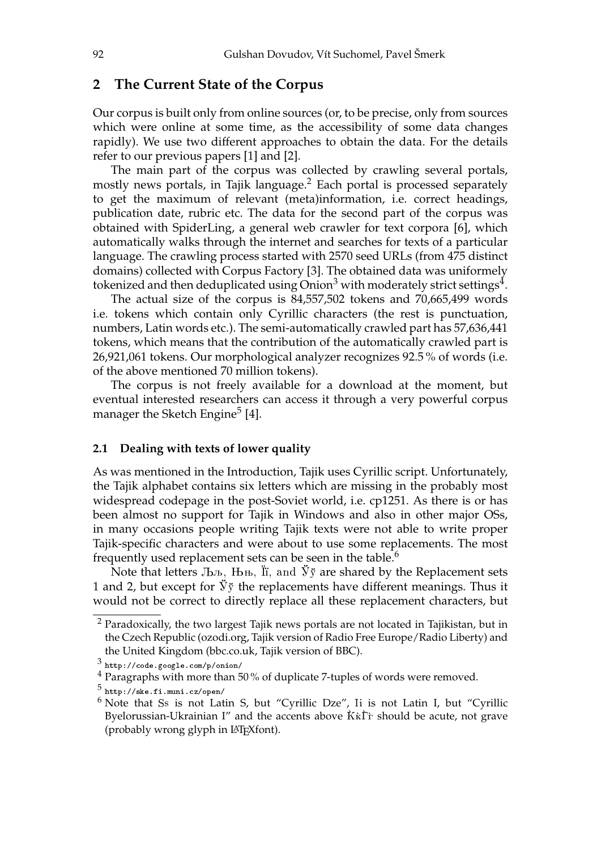## **2 The Current State of the Corpus**

Our corpus is built only from online sources (or, to be precise, only from sources which were online at some time, as the accessibility of some data changes rapidly). We use two different approaches to obtain the data. For the details refer to our previous papers [1] and [2].

The main part of the corpus was collected by crawling several portals, mostly news portals, in Tajik language.<sup>2</sup> Each portal is processed separately to get the maximum of relevant (meta)information, i.e. correct headings, publication date, rubric etc. The data for the second part of the corpus was obtained with SpiderLing, a general web crawler for text corpora [6], which automatically walks through the internet and searches for texts of a particular language. The crawling process started with 2570 seed URLs (from 475 distinct domains) collected with Corpus Factory [3]. The obtained data was uniformely tokenized and then deduplicated using Onion<sup>3</sup> with moderately strict settings<sup>4</sup>.

The actual size of the corpus is 84,557,502 tokens and 70,665,499 words i.e. tokens which contain only Cyrillic characters (the rest is punctuation, numbers, Latin words etc.). The semi-automatically crawled part has 57,636,441 tokens, which means that the contribution of the automatically crawled part is 26,921,061 tokens. Our morphological analyzer recognizes 92.5 % of words (i.e. of the above mentioned 70 million tokens).

The corpus is not freely available for a download at the moment, but eventual interested researchers can access it through a very powerful corpus manager the Sketch Engine<sup>5</sup> [4].

#### **2.1 Dealing with texts of lower quality**

As was mentioned in the Introduction, Tajik uses Cyrillic script. Unfortunately, the Tajik alphabet contains six letters which are missing in the probably most widespread codepage in the post-Soviet world, i.e. cp1251. As there is or has been almost no support for Tajik in Windows and also in other major OSs, in many occasions people writing Tajik texts were not able to write proper Tajik-specific characters and were about to use some replacements. The most frequently used replacement sets can be seen in the table.<sup>6</sup>

Note that letters  $J_{\rm b,b}$ ,  $J_{\rm bb}$ ,  $J_{\rm ii}$ , and  $\ddot{y}$  are shared by the Replacement sets 1 and 2, but except for  $\check{y} \check{y}$  the replacements have different meanings. Thus it would not be correct to directly replace all these replacement characters, but

<sup>2</sup> Paradoxically, the two largest Tajik news portals are not located in Tajikistan, but in the Czech Republic (ozodi.org, Tajik version of Radio Free Europe/Radio Liberty) and the United Kingdom (bbc.co.uk, Tajik version of BBC).

 $^3$  http://code.google.com/p/onion/

<sup>&</sup>lt;sup>4</sup> Paragraphs with more than 50% of duplicate 7-tuples of words were removed.

 $^5$  http://ske.fi.muni.cz/open/

 $6$  Note that Ss is not Latin S, but "Cyrillic Dze", Ii is not Latin I, but "Cyrillic Byelorussian-Ukrainian I" and the accents above  $\hat{K}\hat{k}\hat{\Gamma}$  should be acute, not grave (probably wrong glyph in LATEXfont).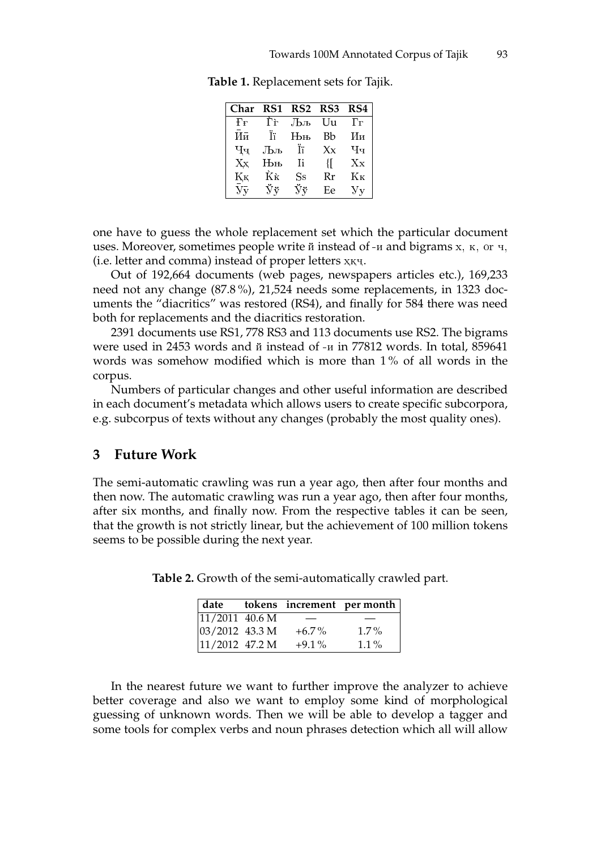| Char                           | RS1 | RS2 RS3                       |         | RS4            |
|--------------------------------|-----|-------------------------------|---------|----------------|
| ₽₽                             | Гŕ  | Љљ                            | Uu      | Γг             |
| Ий                             | Τï  | Њњ                            | Bb      | Ии             |
| Ҷҷ                             | Љљ  | Tï                            | $X_{X}$ | Чч             |
| Xх                             | Њњ  | Ti                            | Ł       | $\rm Xx$       |
| Қĸ                             | Ķķ  | $_{\rm Ss}$                   | Rr      | Kк             |
| $\bar{\text{y}}\bar{\text{y}}$ | Ňў  | $\ddot{\nabla} \ddot{\nabla}$ | Eе      | У <sub>V</sub> |

**Table 1.** Replacement sets for Tajik.

one have to guess the whole replacement set which the particular document uses. Moreover, sometimes people write й instead of -и and bigrams х, к, or ч, (i.e. letter and comma) instead of proper letters ҳқҷ.

Out of 192,664 documents (web pages, newspapers articles etc.), 169,233 need not any change (87.8 %), 21,524 needs some replacements, in 1323 documents the "diacritics" was restored (RS4), and finally for 584 there was need both for replacements and the diacritics restoration.

2391 documents use RS1, 778 RS3 and 113 documents use RS2. The bigrams were used in 2453 words and й instead of -и in 77812 words. In total, 859641 words was somehow modified which is more than 1 % of all words in the corpus.

Numbers of particular changes and other useful information are described in each document's metadata which allows users to create specific subcorpora, e.g. subcorpus of texts without any changes (probably the most quality ones).

#### **3 Future Work**

The semi-automatic crawling was run a year ago, then after four months and then now. The automatic crawling was run a year ago, then after four months, after six months, and finally now. From the respective tables it can be seen, that the growth is not strictly linear, but the achievement of 100 million tokens seems to be possible during the next year.

| date                    |  |          | tokens increment per month |
|-------------------------|--|----------|----------------------------|
| $\sqrt{11/2011}$ 40.6 M |  |          |                            |
| $ 03/2012 \t43.3 M$     |  | $+6.7\%$ | $1.7\%$                    |
| $11/2012$ 47.2 M        |  | $+9.1\%$ | $1.1\%$                    |

**Table 2.** Growth of the semi-automatically crawled part.

In the nearest future we want to further improve the analyzer to achieve better coverage and also we want to employ some kind of morphological guessing of unknown words. Then we will be able to develop a tagger and some tools for complex verbs and noun phrases detection which all will allow